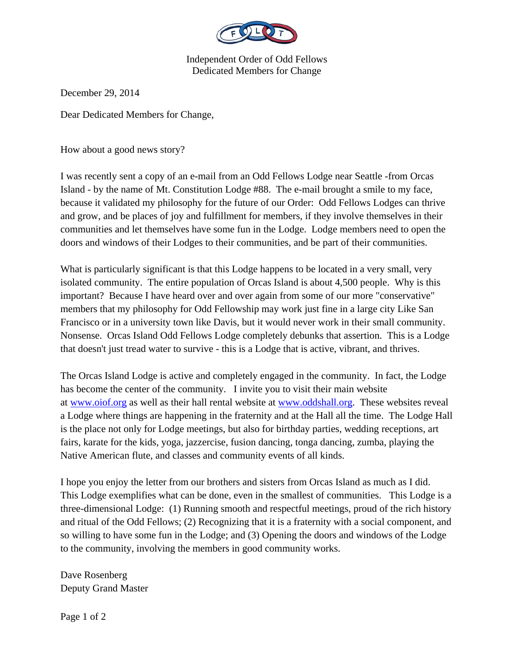

Independent Order of Odd Fellows Dedicated Members for Change

December 29, 2014

Dear Dedicated Members for Change,

How about a good news story?

I was recently sent a copy of an e-mail from an Odd Fellows Lodge near Seattle -from Orcas Island - by the name of Mt. Constitution Lodge #88. The e-mail brought a smile to my face, because it validated my philosophy for the future of our Order: Odd Fellows Lodges can thrive and grow, and be places of joy and fulfillment for members, if they involve themselves in their communities and let themselves have some fun in the Lodge. Lodge members need to open the doors and windows of their Lodges to their communities, and be part of their communities.

What is particularly significant is that this Lodge happens to be located in a very small, very isolated community. The entire population of Orcas Island is about 4,500 people. Why is this important? Because I have heard over and over again from some of our more "conservative" members that my philosophy for Odd Fellowship may work just fine in a large city Like San Francisco or in a university town like Davis, but it would never work in their small community. Nonsense. Orcas Island Odd Fellows Lodge completely debunks that assertion. This is a Lodge that doesn't just tread water to survive - this is a Lodge that is active, vibrant, and thrives.

The Orcas Island Lodge is active and completely engaged in the community. In fact, the Lodge has become the center of the community. I invite you to visit their main website at www.oiof.org as well as their hall rental website at www.oddshall.org. These websites reveal a Lodge where things are happening in the fraternity and at the Hall all the time. The Lodge Hall is the place not only for Lodge meetings, but also for birthday parties, wedding receptions, art fairs, karate for the kids, yoga, jazzercise, fusion dancing, tonga dancing, zumba, playing the Native American flute, and classes and community events of all kinds.

I hope you enjoy the letter from our brothers and sisters from Orcas Island as much as I did. This Lodge exemplifies what can be done, even in the smallest of communities. This Lodge is a three-dimensional Lodge: (1) Running smooth and respectful meetings, proud of the rich history and ritual of the Odd Fellows; (2) Recognizing that it is a fraternity with a social component, and so willing to have some fun in the Lodge; and (3) Opening the doors and windows of the Lodge to the community, involving the members in good community works.

Dave Rosenberg Deputy Grand Master

Page 1 of 2